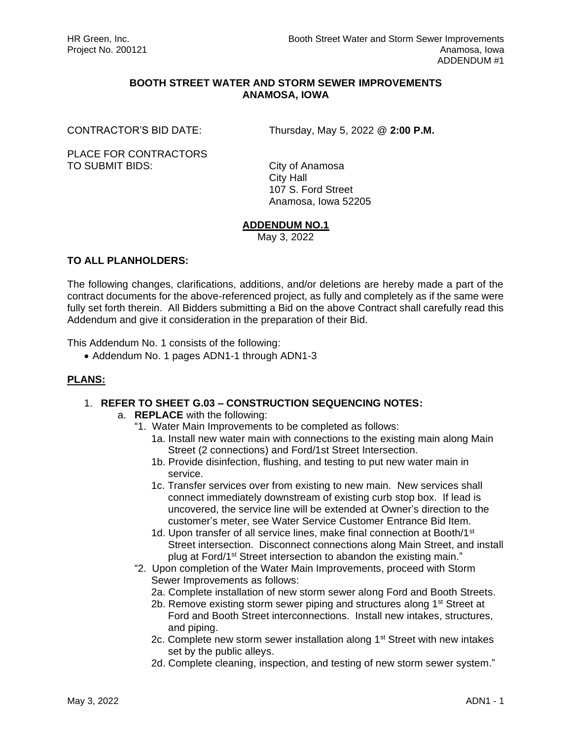# **BOOTH STREET WATER AND STORM SEWER IMPROVEMENTS ANAMOSA, IOWA**

CONTRACTOR'S BID DATE: Thursday, May 5, 2022 @ **2:00 P.M.**

PLACE FOR CONTRACTORS TO SUBMIT BIDS: City of Anamosa

City Hall 107 S. Ford Street Anamosa, Iowa 52205

#### **ADDENDUM NO.1**

May 3, 2022

## **TO ALL PLANHOLDERS:**

The following changes, clarifications, additions, and/or deletions are hereby made a part of the contract documents for the above-referenced project, as fully and completely as if the same were fully set forth therein. All Bidders submitting a Bid on the above Contract shall carefully read this Addendum and give it consideration in the preparation of their Bid.

This Addendum No. 1 consists of the following:

• Addendum No. 1 pages ADN1-1 through ADN1-3

# **PLANS:**

#### 1. **REFER TO SHEET G.03 – CONSTRUCTION SEQUENCING NOTES:**

- a. **REPLACE** with the following:
	- "1. Water Main Improvements to be completed as follows:
		- 1a. Install new water main with connections to the existing main along Main Street (2 connections) and Ford/1st Street Intersection.
		- 1b. Provide disinfection, flushing, and testing to put new water main in service.
		- 1c. Transfer services over from existing to new main. New services shall connect immediately downstream of existing curb stop box. If lead is uncovered, the service line will be extended at Owner's direction to the customer's meter, see Water Service Customer Entrance Bid Item.
		- 1d. Upon transfer of all service lines, make final connection at Booth/1<sup>st</sup> Street intersection. Disconnect connections along Main Street, and install plug at Ford/1st Street intersection to abandon the existing main."
	- "2. Upon completion of the Water Main Improvements, proceed with Storm Sewer Improvements as follows:
		- 2a. Complete installation of new storm sewer along Ford and Booth Streets.
		- 2b. Remove existing storm sewer piping and structures along 1<sup>st</sup> Street at Ford and Booth Street interconnections. Install new intakes, structures, and piping.
		- 2c. Complete new storm sewer installation along 1<sup>st</sup> Street with new intakes set by the public alleys.
		- 2d. Complete cleaning, inspection, and testing of new storm sewer system."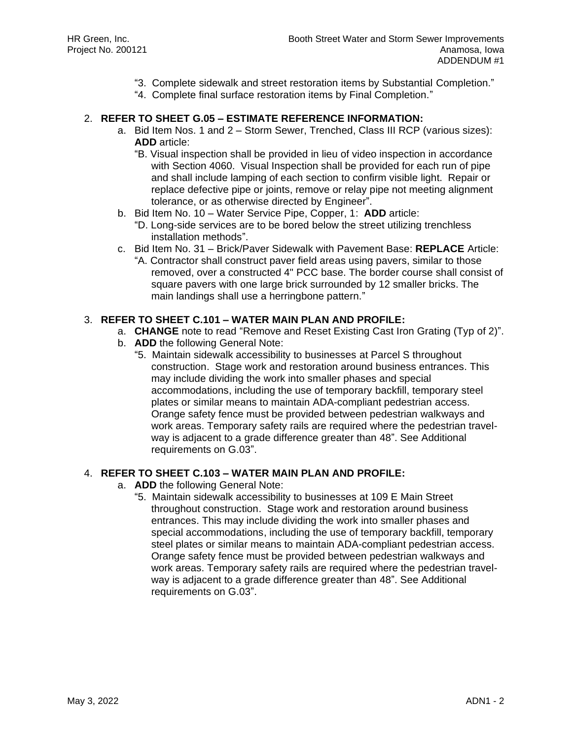- "3. Complete sidewalk and street restoration items by Substantial Completion."
- "4. Complete final surface restoration items by Final Completion."

## 2. **REFER TO SHEET G.05 – ESTIMATE REFERENCE INFORMATION:**

- a. Bid Item Nos. 1 and 2 Storm Sewer, Trenched, Class III RCP (various sizes): **ADD** article:
	- "B. Visual inspection shall be provided in lieu of video inspection in accordance with Section 4060. Visual Inspection shall be provided for each run of pipe and shall include lamping of each section to confirm visible light. Repair or replace defective pipe or joints, remove or relay pipe not meeting alignment tolerance, or as otherwise directed by Engineer".
- b. Bid Item No. 10 Water Service Pipe, Copper, 1: **ADD** article:
	- "D. Long-side services are to be bored below the street utilizing trenchless installation methods".
- c. Bid Item No. 31 Brick/Paver Sidewalk with Pavement Base: **REPLACE** Article:
	- "A. Contractor shall construct paver field areas using pavers, similar to those removed, over a constructed 4" PCC base. The border course shall consist of square pavers with one large brick surrounded by 12 smaller bricks. The main landings shall use a herringbone pattern."

## 3. **REFER TO SHEET C.101 – WATER MAIN PLAN AND PROFILE:**

- a. **CHANGE** note to read "Remove and Reset Existing Cast Iron Grating (Typ of 2)".
- b. **ADD** the following General Note:
	- "5. Maintain sidewalk accessibility to businesses at Parcel S throughout construction. Stage work and restoration around business entrances. This may include dividing the work into smaller phases and special accommodations, including the use of temporary backfill, temporary steel plates or similar means to maintain ADA-compliant pedestrian access. Orange safety fence must be provided between pedestrian walkways and work areas. Temporary safety rails are required where the pedestrian travelway is adjacent to a grade difference greater than 48". See Additional requirements on G.03".

## 4. **REFER TO SHEET C.103 – WATER MAIN PLAN AND PROFILE:**

- a. **ADD** the following General Note:
	- "5. Maintain sidewalk accessibility to businesses at 109 E Main Street throughout construction. Stage work and restoration around business entrances. This may include dividing the work into smaller phases and special accommodations, including the use of temporary backfill, temporary steel plates or similar means to maintain ADA-compliant pedestrian access. Orange safety fence must be provided between pedestrian walkways and work areas. Temporary safety rails are required where the pedestrian travelway is adjacent to a grade difference greater than 48". See Additional requirements on G.03".